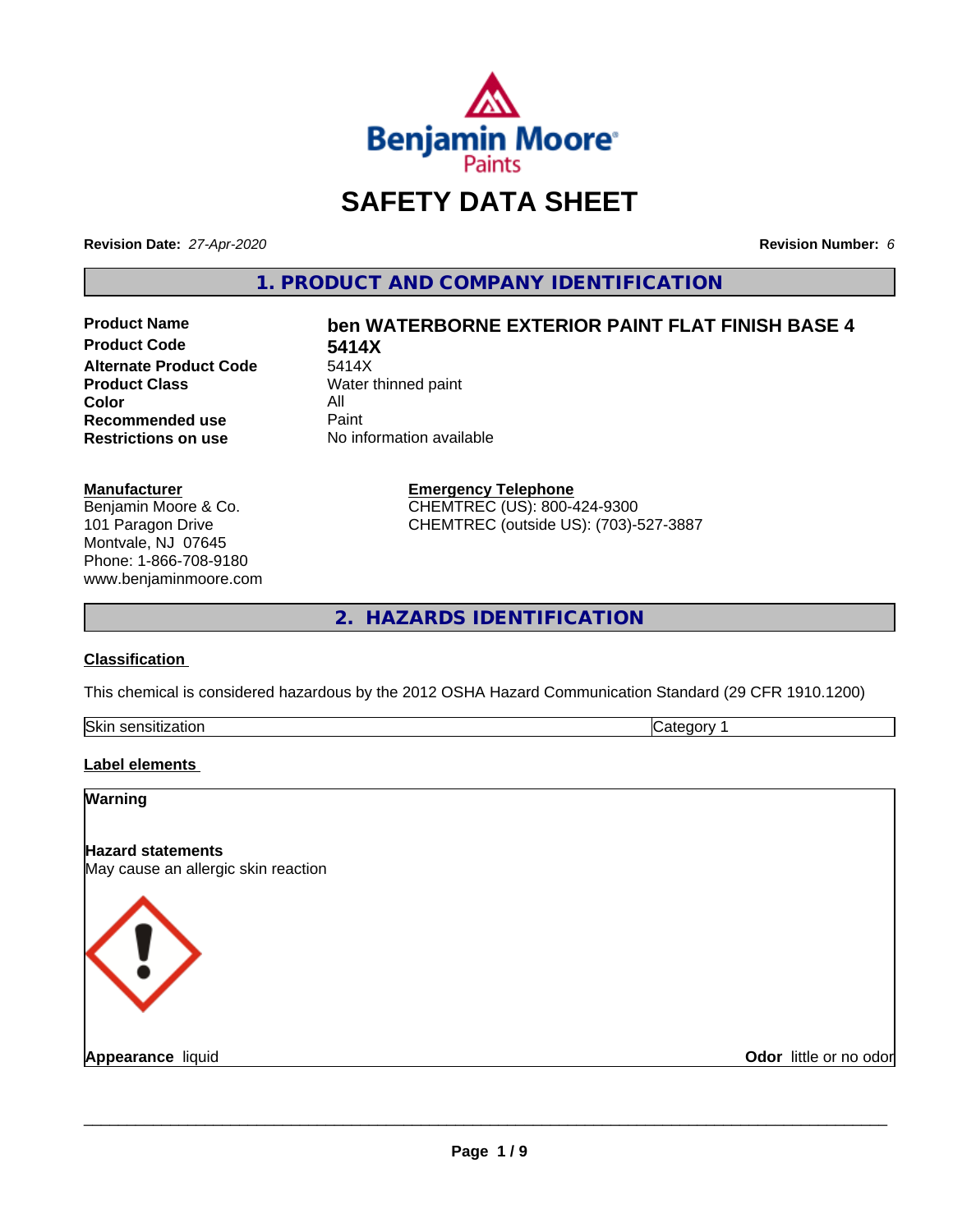

## **SAFETY DATA SHEET**

**Revision Date:** *27-Apr-2020* **Revision Number:** *6*

**1. PRODUCT AND COMPANY IDENTIFICATION**

**Product Code 5414X Alternate Product Code**<br>Product Class **Color** All<br> **Recommended use** Paint **Recommended use**<br>Restrictions on use

# **Product Name ben WATERBORNE EXTERIOR PAINT FLAT FINISH BASE 4**

**Water thinned paint Restrictions on use** No information available

> **Emergency Telephone** CHEMTREC (US): 800-424-9300 CHEMTREC (outside US): (703)-527-3887

**2. HAZARDS IDENTIFICATION**

#### **Classification**

**Manufacturer**

Benjamin Moore & Co. 101 Paragon Drive Montvale, NJ 07645 Phone: 1-866-708-9180 www.benjaminmoore.com

This chemical is considered hazardous by the 2012 OSHA Hazard Communication Standard (29 CFR 1910.1200)

| Skin<br>. <i>.</i><br>auvr.<br>- 11 | ־ |
|-------------------------------------|---|

#### **Label elements**

| Warning                                                         |                        |
|-----------------------------------------------------------------|------------------------|
| <b>Hazard statements</b><br>May cause an allergic skin reaction |                        |
| K ! .                                                           |                        |
| <b>Appearance liquid</b>                                        | Odor little or no odor |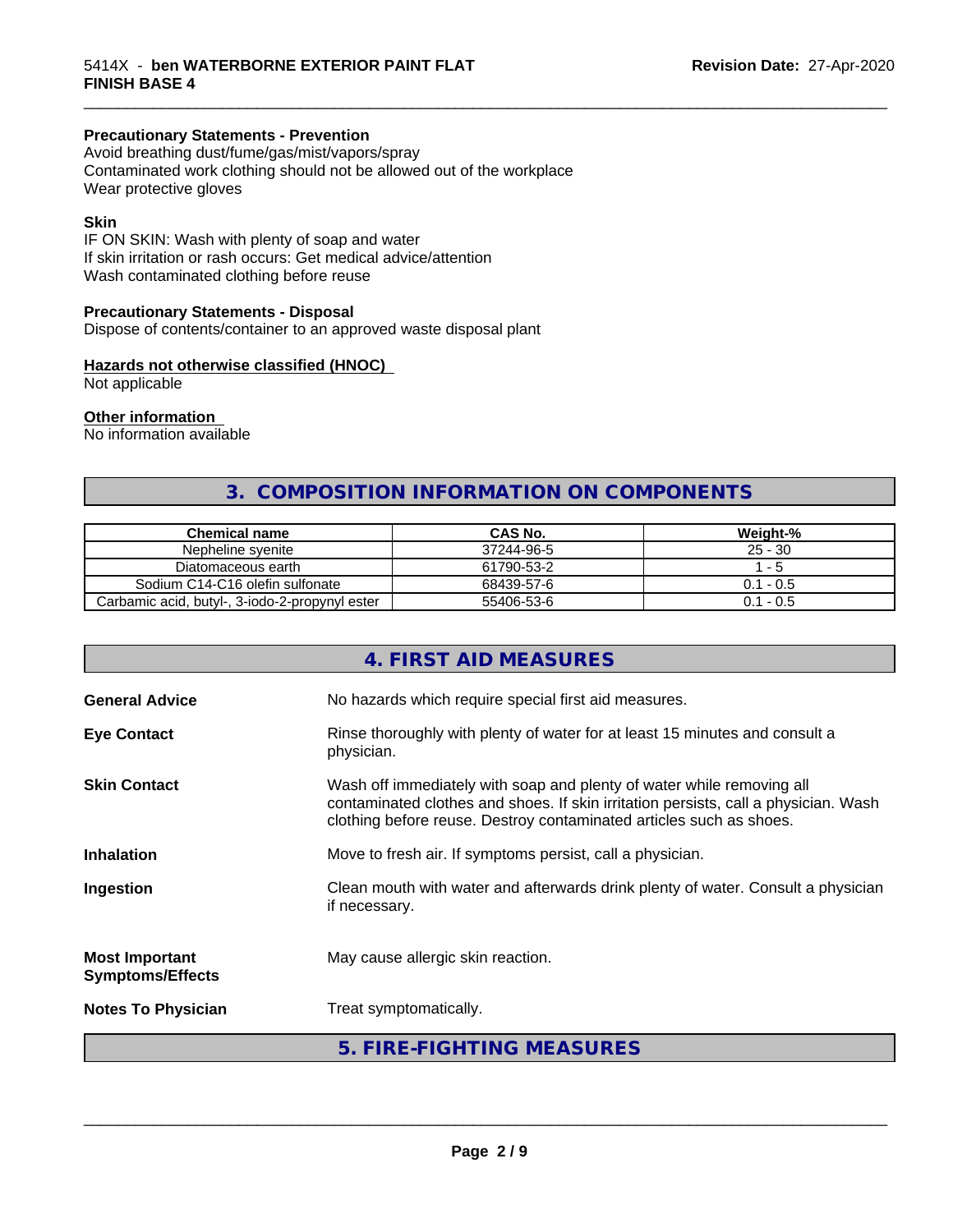## **Precautionary Statements - Prevention**

Avoid breathing dust/fume/gas/mist/vapors/spray Contaminated work clothing should not be allowed out of the workplace Wear protective gloves

#### **Skin**

IF ON SKIN: Wash with plenty of soap and water If skin irritation or rash occurs: Get medical advice/attention Wash contaminated clothing before reuse

#### **Precautionary Statements - Disposal**

Dispose of contents/container to an approved waste disposal plant

#### **Hazards not otherwise classified (HNOC)**

Not applicable

#### **Other information**

No information available

## **3. COMPOSITION INFORMATION ON COMPONENTS**

\_\_\_\_\_\_\_\_\_\_\_\_\_\_\_\_\_\_\_\_\_\_\_\_\_\_\_\_\_\_\_\_\_\_\_\_\_\_\_\_\_\_\_\_\_\_\_\_\_\_\_\_\_\_\_\_\_\_\_\_\_\_\_\_\_\_\_\_\_\_\_\_\_\_\_\_\_\_\_\_\_\_\_\_\_\_\_\_\_\_\_\_\_

| Chemical name                                  | <b>CAS No.</b> | Weight-%    |
|------------------------------------------------|----------------|-------------|
| Nepheline svenite                              | 37244-96-5     | $25 - 30$   |
| Diatomaceous earth                             | 61790-53-2     | - 5         |
| Sodium C14-C16 olefin sulfonate                | 68439-57-6     | $0.1 - 0.5$ |
| Carbamic acid, butyl-, 3-iodo-2-propynyl ester | 55406-53-6     | $0.1 - 0.5$ |

|                                                  | 4. FIRST AID MEASURES                                                                                                                                                                                                               |
|--------------------------------------------------|-------------------------------------------------------------------------------------------------------------------------------------------------------------------------------------------------------------------------------------|
| <b>General Advice</b>                            | No hazards which require special first aid measures.                                                                                                                                                                                |
| <b>Eye Contact</b>                               | Rinse thoroughly with plenty of water for at least 15 minutes and consult a<br>physician.                                                                                                                                           |
| <b>Skin Contact</b>                              | Wash off immediately with soap and plenty of water while removing all<br>contaminated clothes and shoes. If skin irritation persists, call a physician. Wash<br>clothing before reuse. Destroy contaminated articles such as shoes. |
| <b>Inhalation</b>                                | Move to fresh air. If symptoms persist, call a physician.                                                                                                                                                                           |
| Ingestion                                        | Clean mouth with water and afterwards drink plenty of water. Consult a physician<br>if necessary.                                                                                                                                   |
| <b>Most Important</b><br><b>Symptoms/Effects</b> | May cause allergic skin reaction.                                                                                                                                                                                                   |
| <b>Notes To Physician</b>                        | Treat symptomatically.                                                                                                                                                                                                              |
|                                                  | 5. FIRE-FIGHTING MEASURES                                                                                                                                                                                                           |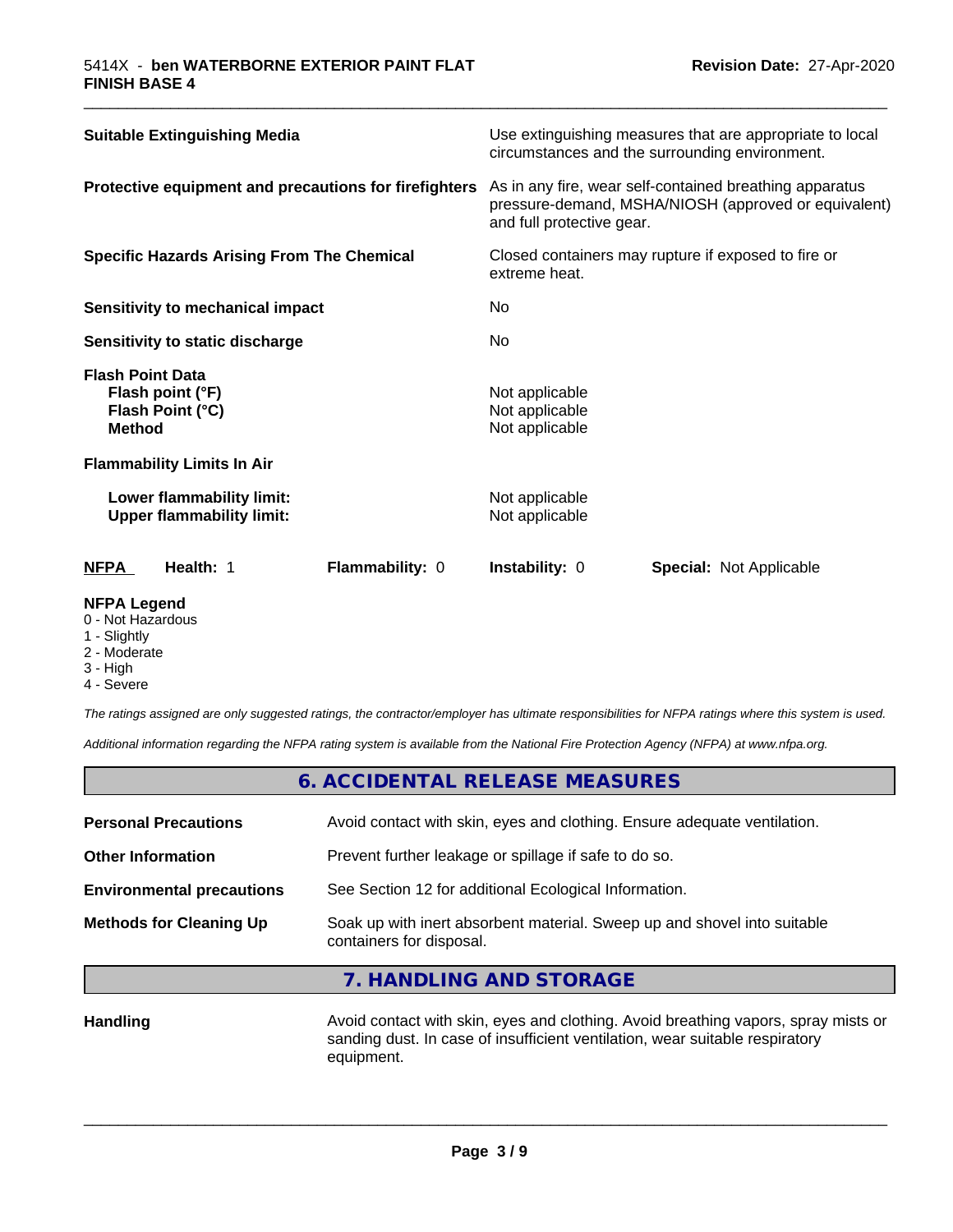| <b>Suitable Extinguishing Media</b>                                              | Use extinguishing measures that are appropriate to local<br>circumstances and the surrounding environment.                                   |
|----------------------------------------------------------------------------------|----------------------------------------------------------------------------------------------------------------------------------------------|
| Protective equipment and precautions for firefighters                            | As in any fire, wear self-contained breathing apparatus<br>pressure-demand, MSHA/NIOSH (approved or equivalent)<br>and full protective gear. |
| <b>Specific Hazards Arising From The Chemical</b>                                | Closed containers may rupture if exposed to fire or<br>extreme heat.                                                                         |
| Sensitivity to mechanical impact                                                 | No.                                                                                                                                          |
| Sensitivity to static discharge                                                  | No.                                                                                                                                          |
| <b>Flash Point Data</b><br>Flash point (°F)<br>Flash Point (°C)<br><b>Method</b> | Not applicable<br>Not applicable<br>Not applicable                                                                                           |
| <b>Flammability Limits In Air</b>                                                |                                                                                                                                              |
| Lower flammability limit:<br><b>Upper flammability limit:</b>                    | Not applicable<br>Not applicable                                                                                                             |
| <b>NFPA</b><br>Health: 1<br><b>Flammability: 0</b>                               | <b>Instability: 0</b><br><b>Special: Not Applicable</b>                                                                                      |

\_\_\_\_\_\_\_\_\_\_\_\_\_\_\_\_\_\_\_\_\_\_\_\_\_\_\_\_\_\_\_\_\_\_\_\_\_\_\_\_\_\_\_\_\_\_\_\_\_\_\_\_\_\_\_\_\_\_\_\_\_\_\_\_\_\_\_\_\_\_\_\_\_\_\_\_\_\_\_\_\_\_\_\_\_\_\_\_\_\_\_\_\_

#### **NFPA Legend**

- 0 Not Hazardous
- 1 Slightly
- 2 Moderate
- 3 High
- 4 Severe

*The ratings assigned are only suggested ratings, the contractor/employer has ultimate responsibilities for NFPA ratings where this system is used.*

*Additional information regarding the NFPA rating system is available from the National Fire Protection Agency (NFPA) at www.nfpa.org.*

## **6. ACCIDENTAL RELEASE MEASURES**

| <b>Personal Precautions</b>      | Avoid contact with skin, eyes and clothing. Ensure adequate ventilation.                             |
|----------------------------------|------------------------------------------------------------------------------------------------------|
| <b>Other Information</b>         | Prevent further leakage or spillage if safe to do so.                                                |
| <b>Environmental precautions</b> | See Section 12 for additional Ecological Information.                                                |
| <b>Methods for Cleaning Up</b>   | Soak up with inert absorbent material. Sweep up and shovel into suitable<br>containers for disposal. |
|                                  |                                                                                                      |

## **7. HANDLING AND STORAGE**

Handling **Handling Avoid contact with skin, eyes and clothing.** Avoid breathing vapors, spray mists or sanding dust. In case of insufficient ventilation, wear suitable respiratory equipment.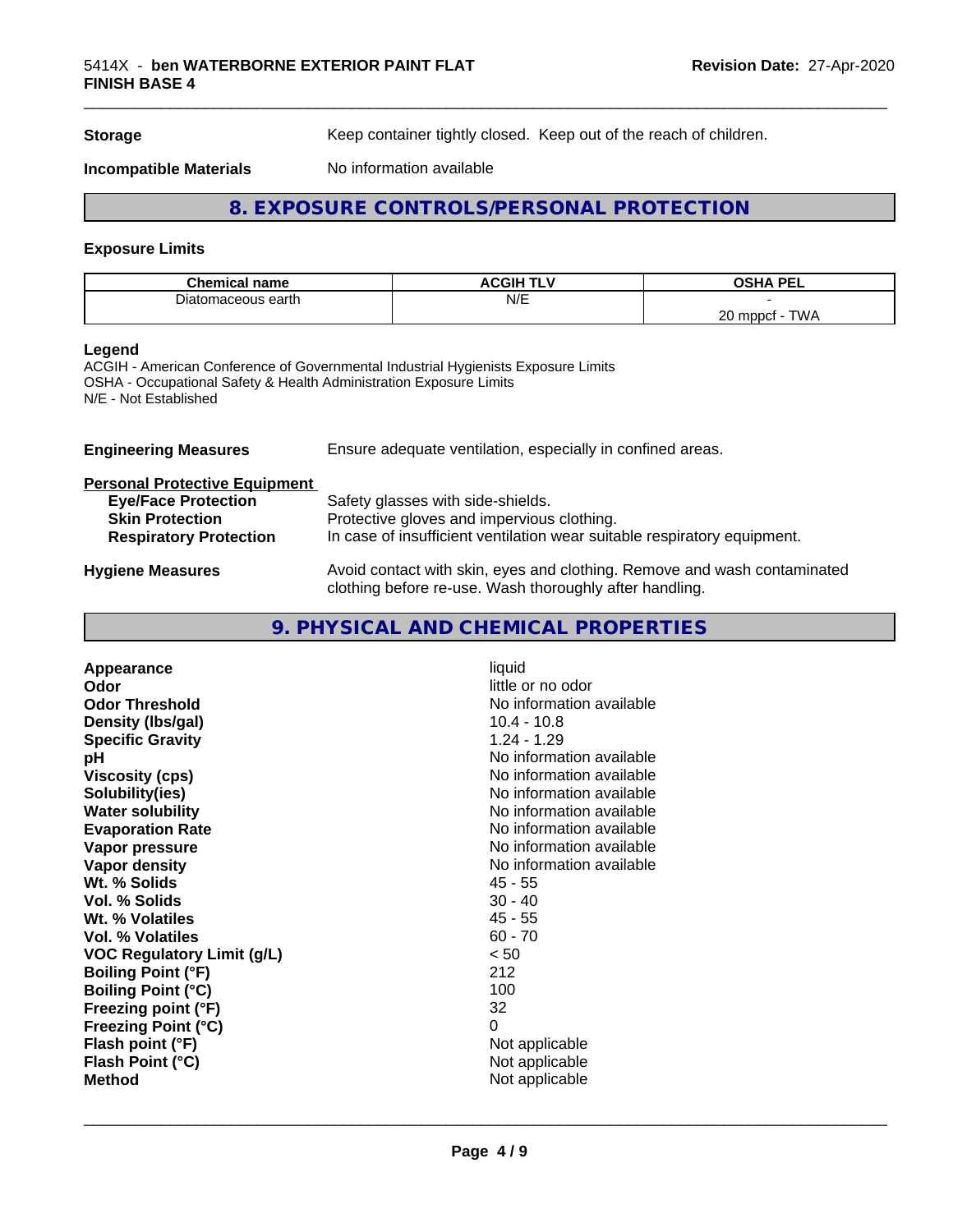**Storage** Keep container tightly closed. Keep out of the reach of children.

**Incompatible Materials** No information available

## **8. EXPOSURE CONTROLS/PERSONAL PROTECTION**

#### **Exposure Limits**

| <b>Chemical</b><br>name | *********<br>∧CGIH<br>. L | <b>USHA DEI</b><br>ÐПA<br>-- |
|-------------------------|---------------------------|------------------------------|
| maceous earth<br>Diator | N/E                       |                              |
|                         |                           | ററ<br>TWA<br>mppct<br>∠∪     |

#### **Legend**

ACGIH - American Conference of Governmental Industrial Hygienists Exposure Limits OSHA - Occupational Safety & Health Administration Exposure Limits N/E - Not Established

| <b>Engineering Measures</b>          | Ensure adequate ventilation, especially in confined areas.                                                                          |  |  |
|--------------------------------------|-------------------------------------------------------------------------------------------------------------------------------------|--|--|
| <b>Personal Protective Equipment</b> |                                                                                                                                     |  |  |
| <b>Eye/Face Protection</b>           | Safety glasses with side-shields.                                                                                                   |  |  |
| <b>Skin Protection</b>               | Protective gloves and impervious clothing.                                                                                          |  |  |
| <b>Respiratory Protection</b>        | In case of insufficient ventilation wear suitable respiratory equipment.                                                            |  |  |
| <b>Hygiene Measures</b>              | Avoid contact with skin, eyes and clothing. Remove and wash contaminated<br>clothing before re-use. Wash thoroughly after handling. |  |  |

## **9. PHYSICAL AND CHEMICAL PROPERTIES**

| Appearance                        | liquid                   |
|-----------------------------------|--------------------------|
| Odor                              | little or no odor        |
| <b>Odor Threshold</b>             | No information available |
| Density (Ibs/gal)                 | $10.4 - 10.8$            |
| <b>Specific Gravity</b>           | $1.24 - 1.29$            |
| рH                                | No information available |
| <b>Viscosity (cps)</b>            | No information available |
| Solubility(ies)                   | No information available |
| <b>Water solubility</b>           | No information available |
| <b>Evaporation Rate</b>           | No information available |
| Vapor pressure                    | No information available |
| Vapor density                     | No information available |
| Wt. % Solids                      | $45 - 55$                |
| Vol. % Solids                     | $30 - 40$                |
| Wt. % Volatiles                   | $45 - 55$                |
| Vol. % Volatiles                  | $60 - 70$                |
| <b>VOC Regulatory Limit (g/L)</b> | < 50                     |
| <b>Boiling Point (°F)</b>         | 212                      |
| <b>Boiling Point (°C)</b>         | 100                      |
| Freezing point (°F)               | 32                       |
| <b>Freezing Point (°C)</b>        | 0                        |
| Flash point (°F)                  | Not applicable           |
| Flash Point (°C)                  | Not applicable           |
| <b>Method</b>                     | Not applicable           |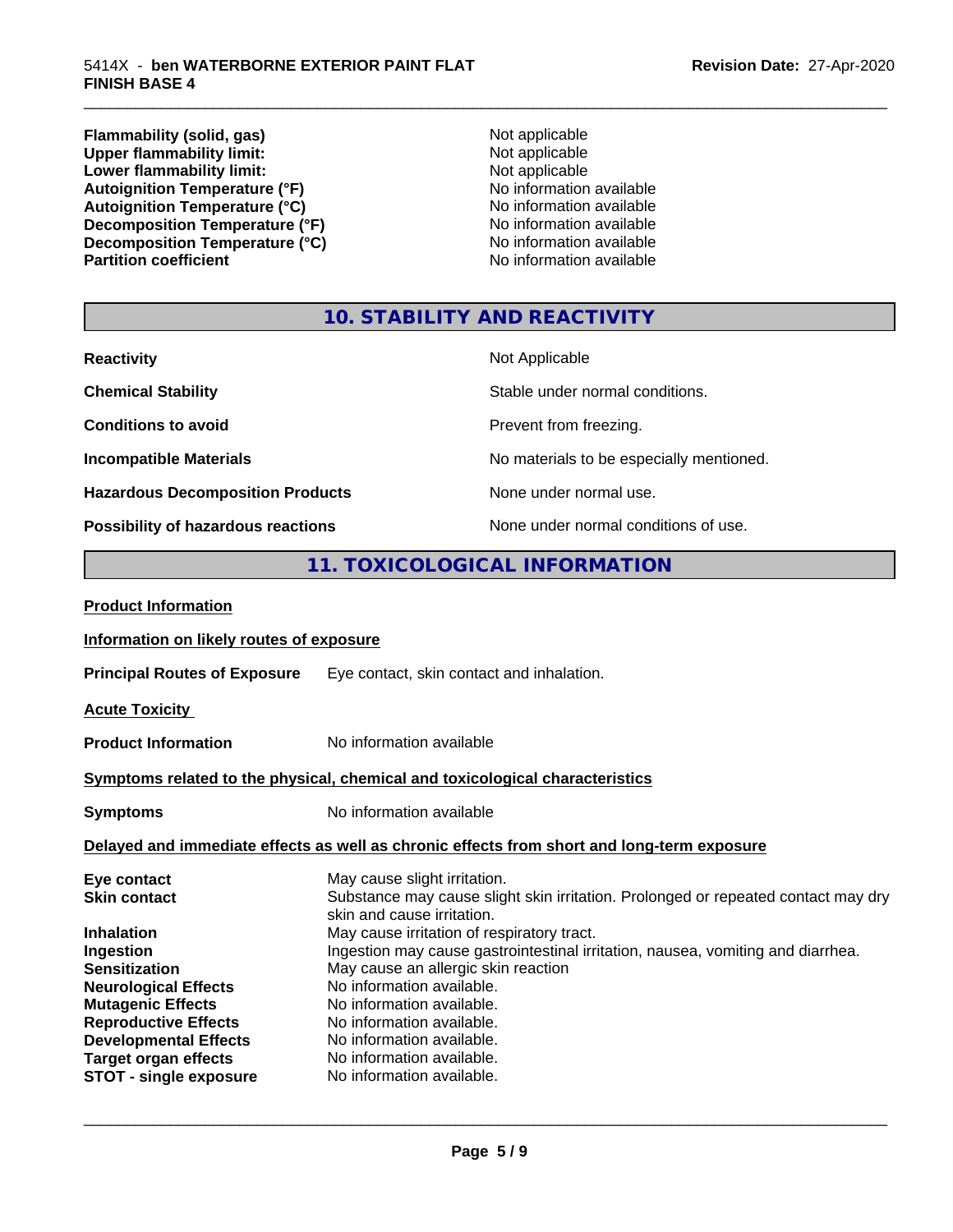**Flammability (solid, gas)** Not applicable **Upper flammability limit:** Not applicable **Not applicable Lower flammability limit:**<br> **Autoignition Temperature (°F)**<br>
Mo information available Autoignition Temperature (°F)<br>
Autoignition Temperature (°C)<br>
No information available Autoignition Temperature (°C)<br>
Decomposition Temperature (°F)<br>
No information available **Decomposition Temperature (°F)**<br> **Decomposition Temperature (°C)**<br>
No information available **Decomposition Temperature (°C)**<br>Partition coefficient

**No information available** 

\_\_\_\_\_\_\_\_\_\_\_\_\_\_\_\_\_\_\_\_\_\_\_\_\_\_\_\_\_\_\_\_\_\_\_\_\_\_\_\_\_\_\_\_\_\_\_\_\_\_\_\_\_\_\_\_\_\_\_\_\_\_\_\_\_\_\_\_\_\_\_\_\_\_\_\_\_\_\_\_\_\_\_\_\_\_\_\_\_\_\_\_\_

## **10. STABILITY AND REACTIVITY**

| <b>Reactivity</b>                         | Not Applicable                           |
|-------------------------------------------|------------------------------------------|
| <b>Chemical Stability</b>                 | Stable under normal conditions.          |
| <b>Conditions to avoid</b>                | Prevent from freezing.                   |
| <b>Incompatible Materials</b>             | No materials to be especially mentioned. |
| <b>Hazardous Decomposition Products</b>   | None under normal use.                   |
| <b>Possibility of hazardous reactions</b> | None under normal conditions of use.     |

## **11. TOXICOLOGICAL INFORMATION**

| <b>Product Information</b>               |                                                                                                                 |
|------------------------------------------|-----------------------------------------------------------------------------------------------------------------|
| Information on likely routes of exposure |                                                                                                                 |
|                                          | <b>Principal Routes of Exposure</b> Eye contact, skin contact and inhalation.                                   |
| <b>Acute Toxicity</b>                    |                                                                                                                 |
| <b>Product Information</b>               | No information available                                                                                        |
|                                          | Symptoms related to the physical, chemical and toxicological characteristics                                    |
| <b>Symptoms</b>                          | No information available                                                                                        |
|                                          | Delayed and immediate effects as well as chronic effects from short and long-term exposure                      |
| Eye contact                              | May cause slight irritation.                                                                                    |
| <b>Skin contact</b>                      | Substance may cause slight skin irritation. Prolonged or repeated contact may dry<br>skin and cause irritation. |
| <b>Inhalation</b>                        | May cause irritation of respiratory tract.                                                                      |
| Ingestion                                | Ingestion may cause gastrointestinal irritation, nausea, vomiting and diarrhea.                                 |
| <b>Sensitization</b>                     | May cause an allergic skin reaction                                                                             |
| <b>Neurological Effects</b>              | No information available.                                                                                       |
| <b>Mutagenic Effects</b>                 | No information available.                                                                                       |
| <b>Reproductive Effects</b>              | No information available.                                                                                       |
| <b>Developmental Effects</b>             | No information available.                                                                                       |
| <b>Target organ effects</b>              | No information available.                                                                                       |
| <b>STOT - single exposure</b>            | No information available.                                                                                       |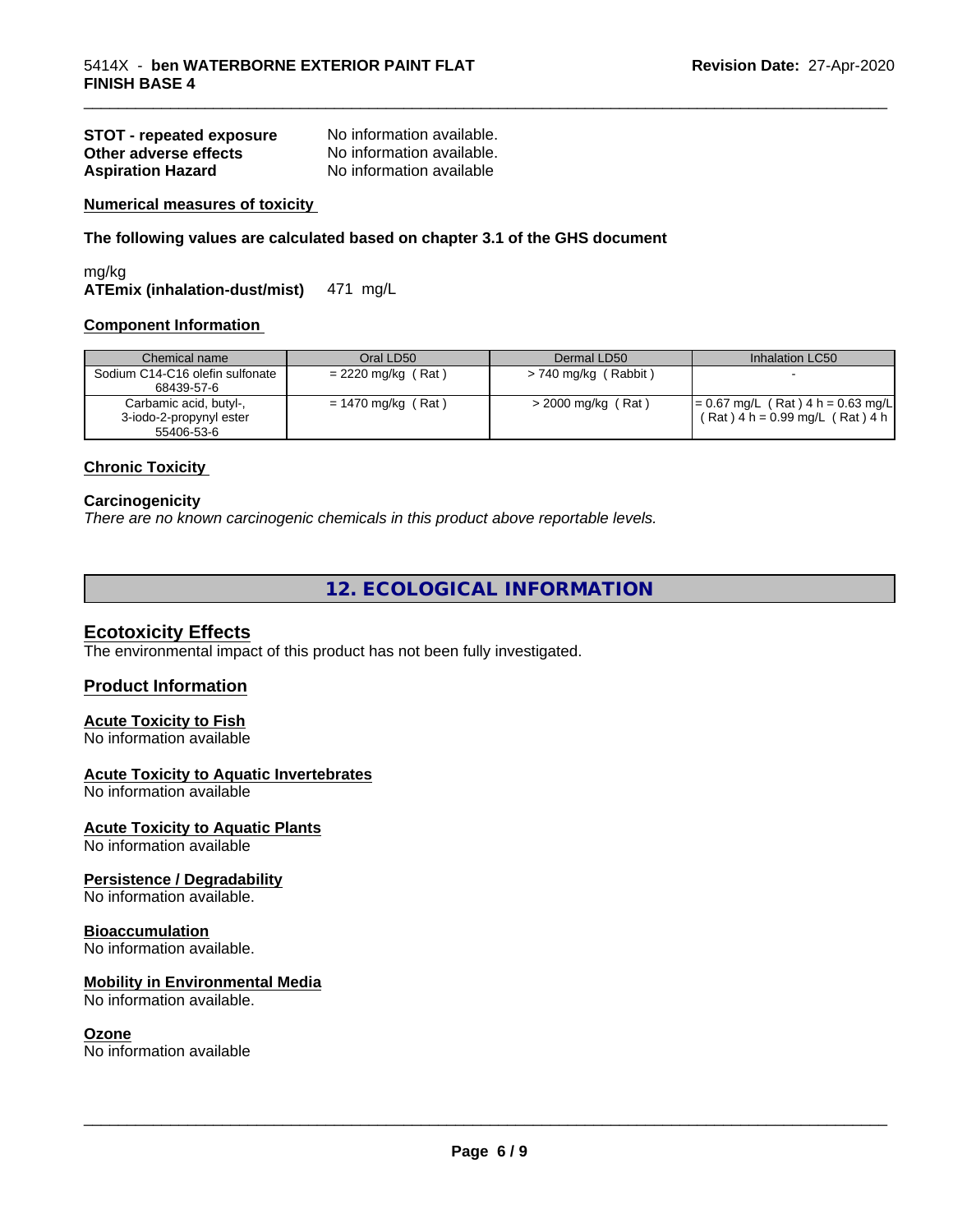| <b>STOT - repeated exposure</b> | No information available. |
|---------------------------------|---------------------------|
| Other adverse effects           | No information available. |
| <b>Aspiration Hazard</b>        | No information available  |

#### **Numerical measures of toxicity**

**The following values are calculated based on chapter 3.1 of the GHS document**

mg/kg **ATEmix (inhalation-dust/mist)** 471 mg/L

#### **Component Information**

| Chemical name                                                   | Oral LD50            | Dermal LD50            | Inhalation LC50                                                          |
|-----------------------------------------------------------------|----------------------|------------------------|--------------------------------------------------------------------------|
| Sodium C14-C16 olefin sulfonate<br>68439-57-6                   | $= 2220$ mg/kg (Rat) | $> 740$ mg/kg (Rabbit) |                                                                          |
| Carbamic acid, butyl-,<br>3-iodo-2-propynyl ester<br>55406-53-6 | $= 1470$ mg/kg (Rat) | > 2000 mg/kg (Rat)     | $= 0.67$ mg/L (Rat) 4 h = 0.63 mg/L<br>$(Rat)$ 4 h = 0.99 mg/L (Rat) 4 h |

\_\_\_\_\_\_\_\_\_\_\_\_\_\_\_\_\_\_\_\_\_\_\_\_\_\_\_\_\_\_\_\_\_\_\_\_\_\_\_\_\_\_\_\_\_\_\_\_\_\_\_\_\_\_\_\_\_\_\_\_\_\_\_\_\_\_\_\_\_\_\_\_\_\_\_\_\_\_\_\_\_\_\_\_\_\_\_\_\_\_\_\_\_

#### **Chronic Toxicity**

#### **Carcinogenicity**

*There are no known carcinogenic chemicals in this product above reportable levels.*

**12. ECOLOGICAL INFORMATION**

#### **Ecotoxicity Effects**

The environmental impact of this product has not been fully investigated.

#### **Product Information**

#### **Acute Toxicity to Fish**

No information available

#### **Acute Toxicity to Aquatic Invertebrates**

No information available

#### **Acute Toxicity to Aquatic Plants**

No information available

#### **Persistence / Degradability**

No information available.

#### **Bioaccumulation**

No information available.

#### **Mobility in Environmental Media**

No information available.

#### **Ozone**

No information available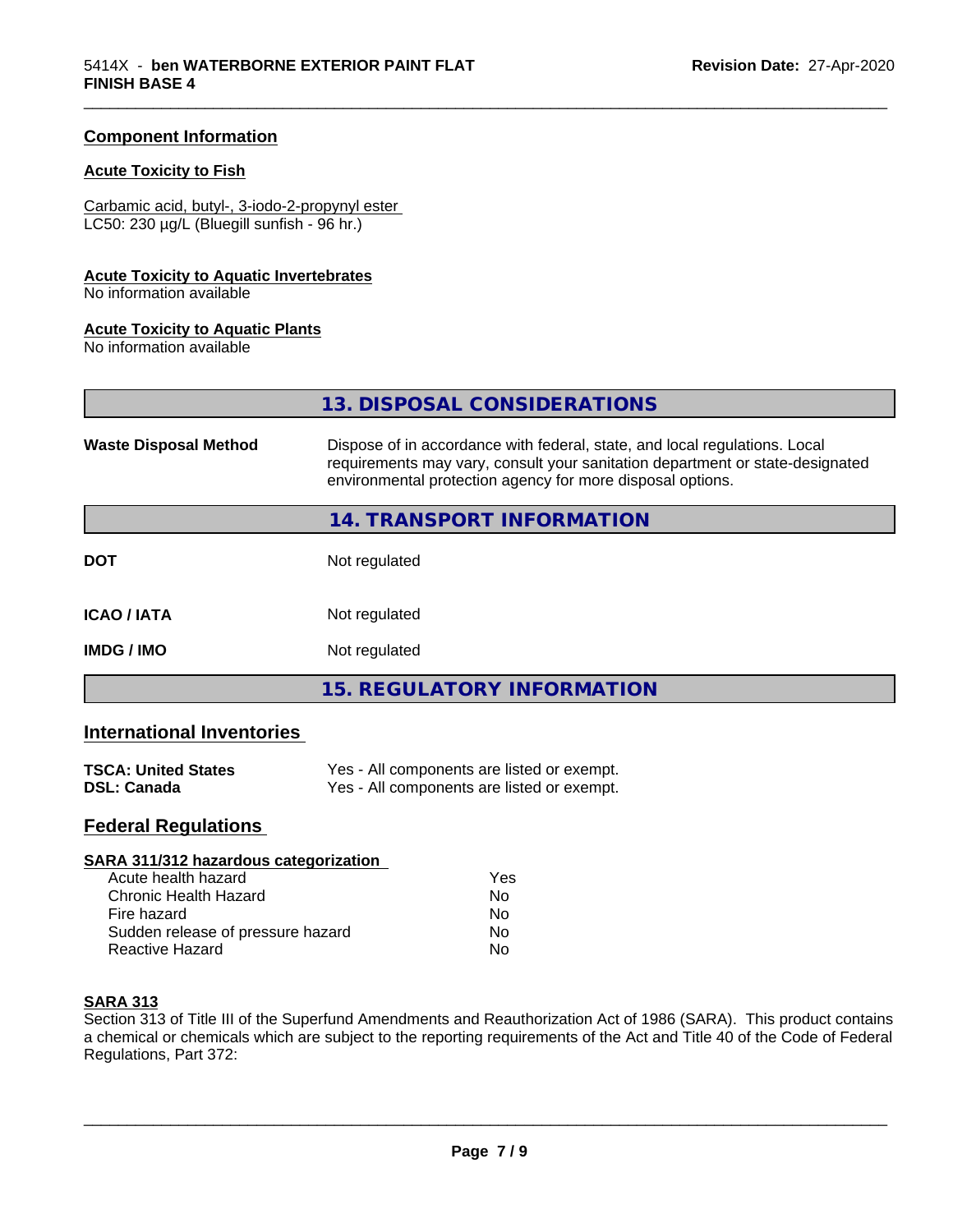#### **Component Information**

## **Acute Toxicity to Fish**

Carbamic acid, butyl-, 3-iodo-2-propynyl ester LC50: 230 µg/L (Bluegill sunfish - 96 hr.)

#### **Acute Toxicity to Aquatic Invertebrates**

No information available

#### **Acute Toxicity to Aquatic Plants**

No information available

|                              | 13. DISPOSAL CONSIDERATIONS                                                                                                                                                                                               |
|------------------------------|---------------------------------------------------------------------------------------------------------------------------------------------------------------------------------------------------------------------------|
| <b>Waste Disposal Method</b> | Dispose of in accordance with federal, state, and local regulations. Local<br>requirements may vary, consult your sanitation department or state-designated<br>environmental protection agency for more disposal options. |
|                              | 14. TRANSPORT INFORMATION                                                                                                                                                                                                 |
| DOT                          | Not regulated                                                                                                                                                                                                             |
| <b>ICAO / IATA</b>           | Not regulated                                                                                                                                                                                                             |
| IMDG / IMO                   | Not regulated                                                                                                                                                                                                             |
|                              | <b>15. REGULATORY INFORMATION</b>                                                                                                                                                                                         |

\_\_\_\_\_\_\_\_\_\_\_\_\_\_\_\_\_\_\_\_\_\_\_\_\_\_\_\_\_\_\_\_\_\_\_\_\_\_\_\_\_\_\_\_\_\_\_\_\_\_\_\_\_\_\_\_\_\_\_\_\_\_\_\_\_\_\_\_\_\_\_\_\_\_\_\_\_\_\_\_\_\_\_\_\_\_\_\_\_\_\_\_\_

## **International Inventories**

| <b>TSCA: United States</b> | Yes - All components are listed or exempt. |
|----------------------------|--------------------------------------------|
| <b>DSL: Canada</b>         | Yes - All components are listed or exempt. |

## **Federal Regulations**

| SARA 311/312 hazardous categorization |     |  |
|---------------------------------------|-----|--|
| Acute health hazard                   | Yes |  |
| Chronic Health Hazard                 | No  |  |
| Fire hazard                           | No  |  |
| Sudden release of pressure hazard     | Nο  |  |
| Reactive Hazard                       | No  |  |

#### **SARA 313**

Section 313 of Title III of the Superfund Amendments and Reauthorization Act of 1986 (SARA). This product contains a chemical or chemicals which are subject to the reporting requirements of the Act and Title 40 of the Code of Federal Regulations, Part 372: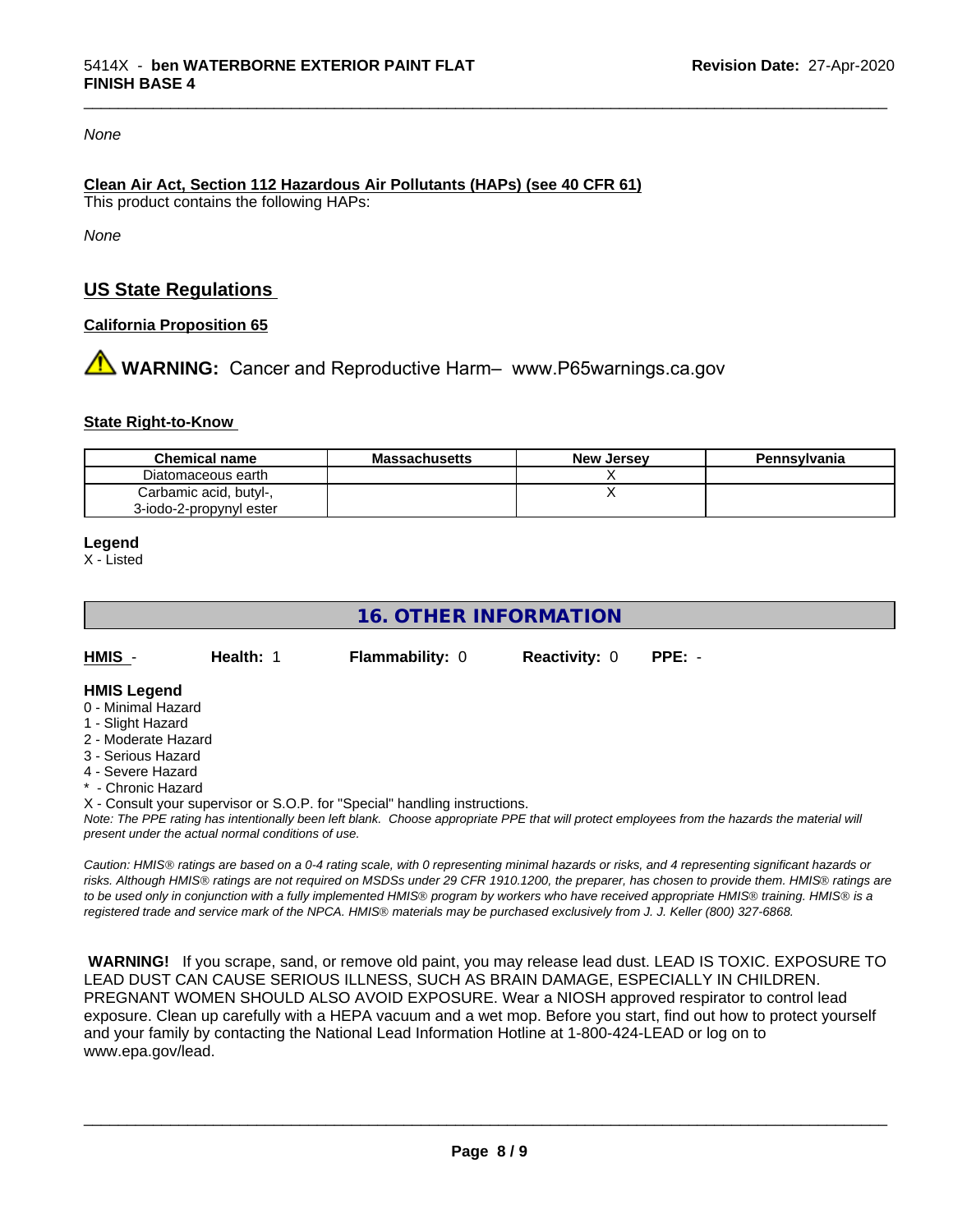#### *None*

#### **Clean Air Act,Section 112 Hazardous Air Pollutants (HAPs) (see 40 CFR 61)** This product contains the following HAPs:

*None*

## **US State Regulations**

#### **California Proposition 65**

**AN** WARNING: Cancer and Reproductive Harm– www.P65warnings.ca.gov

#### **State Right-to-Know**

| <b>Chemical name</b>    | <b>Massachusetts</b> | <b>New Jersey</b> | Pennsylvania |
|-------------------------|----------------------|-------------------|--------------|
| Diatomaceous earth      |                      |                   |              |
| Carbamic acid, butyl-,  |                      |                   |              |
| 3-iodo-2-propynyl ester |                      |                   |              |

**Legend**

X - Listed

## **16. OTHER INFORMATION**

| <b>HMIS</b> | Health: 1 |  |
|-------------|-----------|--|
|             |           |  |

**Flammability: 0 Reactivity: 0 PPE: -**

\_\_\_\_\_\_\_\_\_\_\_\_\_\_\_\_\_\_\_\_\_\_\_\_\_\_\_\_\_\_\_\_\_\_\_\_\_\_\_\_\_\_\_\_\_\_\_\_\_\_\_\_\_\_\_\_\_\_\_\_\_\_\_\_\_\_\_\_\_\_\_\_\_\_\_\_\_\_\_\_\_\_\_\_\_\_\_\_\_\_\_\_\_

#### **HMIS Legend**

- 0 Minimal Hazard
- 1 Slight Hazard
- 2 Moderate Hazard
- 3 Serious Hazard
- 4 Severe Hazard
- **Chronic Hazard**

X - Consult your supervisor or S.O.P. for "Special" handling instructions.

*Note: The PPE rating has intentionally been left blank. Choose appropriate PPE that will protect employees from the hazards the material will present under the actual normal conditions of use.*

*Caution: HMISÒ ratings are based on a 0-4 rating scale, with 0 representing minimal hazards or risks, and 4 representing significant hazards or risks. Although HMISÒ ratings are not required on MSDSs under 29 CFR 1910.1200, the preparer, has chosen to provide them. HMISÒ ratings are to be used only in conjunction with a fully implemented HMISÒ program by workers who have received appropriate HMISÒ training. HMISÒ is a registered trade and service mark of the NPCA. HMISÒ materials may be purchased exclusively from J. J. Keller (800) 327-6868.*

 **WARNING!** If you scrape, sand, or remove old paint, you may release lead dust. LEAD IS TOXIC. EXPOSURE TO LEAD DUST CAN CAUSE SERIOUS ILLNESS, SUCH AS BRAIN DAMAGE, ESPECIALLY IN CHILDREN. PREGNANT WOMEN SHOULD ALSO AVOID EXPOSURE.Wear a NIOSH approved respirator to control lead exposure. Clean up carefully with a HEPA vacuum and a wet mop. Before you start, find out how to protect yourself and your family by contacting the National Lead Information Hotline at 1-800-424-LEAD or log on to www.epa.gov/lead.